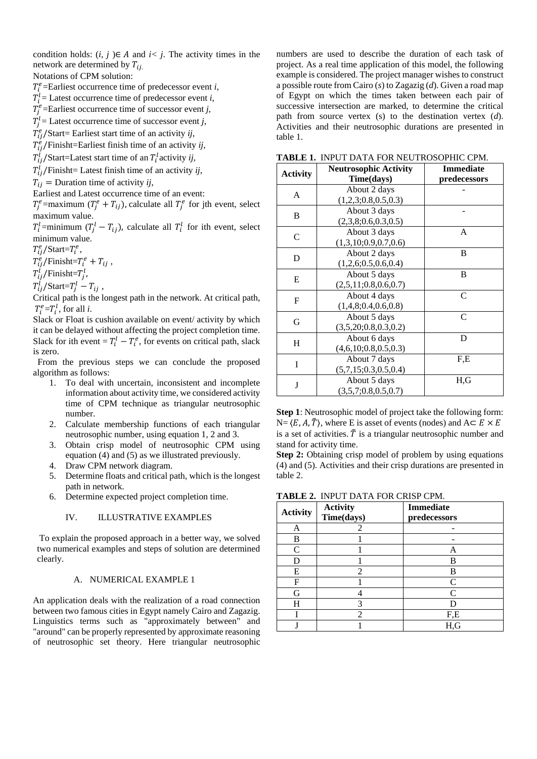condition holds:  $(i, j) \in A$  and  $i < j$ . The activity times in the network are determined by  $T_{ii}$ 

Notations of CPM solution:

 $T_i^e$ =Earliest occurrence time of predecessor event *i*,

- $T_i^l$  = Latest occurrence time of predecessor event *i*,
- $T_j^e$ =Earliest occurrence time of successor event *j*,
- $T_j^l$  = Latest occurrence time of successor event *j*,
- $T_{ij}^e$ /Start= Earliest start time of an activity *ij*,

 $T_{ij}^e$ /Finisht=Earliest finish time of an activity *ij*,

 $T_{ij}^l$ /Start=Latest start time of an  $T_i^l$ activity *ij*,

 $T_{ij}^l$ /Finisht= Latest finish time of an activity *ij*,

 $T_{ij}$  = Duration time of activity *ij*,

Earliest and Latest occurrence time of an event:

 $T_j^e$ =maximum ( $T_j^e + T_{ij}$ ), calculate all  $T_j^e$  for jth event, select maximum value.

 $T_i^l$ =minimum  $(T_j^l - T_{ij})$ , calculate all  $T_i^l$  for ith event, select minimum value.

 $T_{ij}^e$ /Start= $T_i^e$ ,

 $T_{ij}^e$ /Finisht= $T_i^e + T_{ij}$ ,

 $T_{ij}^l$ /Finisht= $T_j^l$ ,

 $T_{ij}^l$ /Start= $T_j^l - T_{ij}$ ,

Critical path is the longest path in the network. At critical path,  $T_i^e = T_i^l$ , for all *i*.

Slack or Float is cushion available on event/ activity by which it can be delayed without affecting the project completion time. Slack for ith event =  $T_i^l - T_i^e$ , for events on critical path, slack is zero.

 From the previous steps we can conclude the proposed algorithm as follows:

- 1. To deal with uncertain, inconsistent and incomplete information about activity time, we considered activity time of CPM technique as triangular neutrosophic number.
- 2. Calculate membership functions of each triangular neutrosophic number, using equation 1, 2 and 3.
- 3. Obtain crisp model of neutrosophic CPM using equation (4) and (5) as we illustrated previously.
- 4. Draw CPM network diagram.
- 5. Determine floats and critical path, which is the longest path in network.
- 6. Determine expected project completion time.

# IV. ILLUSTRATIVE EXAMPLES

To explain the proposed approach in a better way, we solved two numerical examples and steps of solution are determined clearly.

# A. NUMERICAL EXAMPLE 1

An application deals with the realization of a road connection between two famous cities in Egypt namely Cairo and Zagazig. Linguistics terms such as "approximately between" and "around" can be properly represented by approximate reasoning of neutrosophic set theory. Here triangular neutrosophic

numbers are used to describe the duration of each task of project. As a real time application of this model, the following example is considered. The project manager wishes to construct a possible route from Cairo (*s*) to Zagazig (*d*). Given a road map of Egypt on which the times taken between each pair of successive intersection are marked, to determine the critical path from source vertex (s) to the destination vertex (*d*). Activities and their neutrosophic durations are presented in table 1.

|  |  | <b>TABLE 1. INPUT DATA FOR NEUTROSOPHIC CPM.</b> |
|--|--|--------------------------------------------------|
|--|--|--------------------------------------------------|

| <b>Activity</b>             | <b>Neutrosophic Activity</b><br>Time(days) | <b>Immediate</b><br>predecessors |
|-----------------------------|--------------------------------------------|----------------------------------|
| A                           | About 2 days<br>(1,2,3;0.8,0.5,0.3)        |                                  |
| B                           | About 3 days<br>(2,3,8;0.6,0.3,0.5)        |                                  |
| $\mathcal{C}_{\mathcal{C}}$ | About 3 days<br>(1,3,10;0.9,0.7,0.6)       | A                                |
| D                           | About 2 days<br>(1,2,6;0.5,0.6,0.4)        | B                                |
| E                           | About 5 days<br>(2,5,11;0.8,0.6,0.7)       | B                                |
| F                           | About 4 days<br>(1,4,8;0.4,0.6,0.8)        | C                                |
| G                           | About 5 days<br>(3,5,20;0.8,0.3,0.2)       | C                                |
| Η                           | About 6 days<br>(4,6,10;0.8,0.5,0.3)       | D                                |
| T                           | About 7 days<br>(5,7,15;0.3,0.5,0.4)       | F.E                              |
| J                           | About 5 days<br>(3,5,7;0.8,0.5,0.7)        | H.G                              |

**Step 1**: Neutrosophic model of project take the following form:  $N = \langle E, A, \tilde{T} \rangle$ , where E is asset of events (nodes) and  $A \subset E \times E$ is a set of activities.  $\tilde{T}$  is a triangular neutrosophic number and stand for activity time.

**Step 2:** Obtaining crisp model of problem by using equations (4) and (5). Activities and their crisp durations are presented in table 2.

| <b>TABLE 2. INPUT DATA FOR CRISP CPM.</b> |  |
|-------------------------------------------|--|
|-------------------------------------------|--|

| <b>Activity</b> | Activity   | <b>Immediate</b> |
|-----------------|------------|------------------|
|                 | Time(days) | predecessors     |
| A               | 2          |                  |
| B               |            |                  |
| C               |            | A                |
|                 |            | B                |
| E               | 2          | B                |
| F               |            | C                |
| G               |            | C                |
| H               | 3          |                  |
|                 | 2          | F,E              |
|                 |            | H,G              |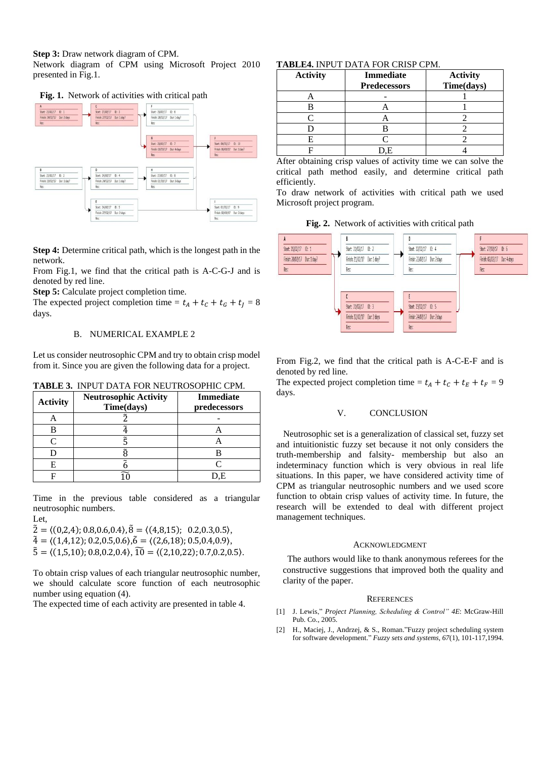**Step 3:** Draw network diagram of CPM.

Network diagram of CPM using Microsoft Project 2010 presented in Fig.1.





**Step 4:** Determine critical path, which is the longest path in the network.

From Fig.1, we find that the critical path is A-C-G-J and is denoted by red line.

**Step 5:** Calculate project completion time.

The expected project completion time =  $t_A + t_C + t_G + t_J = 8$ days.

## B. NUMERICAL EXAMPLE 2

Let us consider neutrosophic CPM and try to obtain crisp model from it. Since you are given the following data for a project.

**TABLE 3.** INPUT DATA FOR NEUTROSOPHIC CPM.

| <b>Activity</b> | <b>Neutrosophic Activity</b><br>Time(days) | <b>Immediate</b><br>predecessors |
|-----------------|--------------------------------------------|----------------------------------|
|                 |                                            |                                  |
|                 |                                            |                                  |
|                 |                                            |                                  |
|                 |                                            |                                  |
|                 |                                            |                                  |
|                 |                                            | Ψ.                               |

Time in the previous table considered as a triangular neutrosophic numbers.

Let,

- $\tilde{2} = \langle (0,2,4); 0.8, 0.6, 0.4 \rangle$ ,  $\tilde{8} = \langle (4,8,15); 0.2, 0.3, 0.5 \rangle$ ,
- $\tilde{4} = \langle (1,4,12); 0.2, 0.5, 0.6 \rangle$ ,  $\tilde{6} = \langle (2,6,18); 0.5, 0.4, 0.9 \rangle$ ,
- $\tilde{5} = \langle (1,5,10); 0.8, 0.2, 0.4 \rangle$ ,  $\tilde{10} = \langle (2,10,22); 0.7, 0.2, 0.5 \rangle$ .

To obtain crisp values of each triangular neutrosophic number, we should calculate score function of each neutrosophic number using equation (4).

The expected time of each activity are presented in table 4.

# **TABLE4.** INPUT DATA FOR CRISP CPM.

| <b>Activity</b> | <b>Immediate</b><br><b>Predecessors</b> | <b>Activity</b><br>Time(days) |
|-----------------|-----------------------------------------|-------------------------------|
|                 |                                         |                               |
|                 |                                         |                               |
|                 |                                         |                               |
|                 |                                         |                               |
|                 |                                         |                               |
|                 |                                         |                               |

After obtaining crisp values of activity time we can solve the critical path method easily, and determine critical path efficiently.

To draw network of activities with critical path we used Microsoft project program.

**Fig. 2.** Network of activities with critical path



From Fig.2, we find that the critical path is A-C-E-F and is denoted by red line.

The expected project completion time =  $t_A + t_C + t_F + t_F = 9$ days.

### V. CONCLUSION

 Neutrosophic set is a generalization of classical set, fuzzy set and intuitionistic fuzzy set because it not only considers the truth-membership and falsity- membership but also an indeterminacy function which is very obvious in real life situations. In this paper, we have considered activity time of CPM as triangular neutrosophic numbers and we used score function to obtain crisp values of activity time. In future, the research will be extended to deal with different project management techniques.

#### ACKNOWLEDGMENT

 The authors would like to thank anonymous referees for the constructive suggestions that improved both the quality and clarity of the paper.

#### **REFERENCES**

- [1] J. Lewis," *Project Planning, Scheduling & Control" 4E*: McGraw-Hill Pub. Co., 2005.
- [2] H., Maciej, J., Andrzej, & S., Roman."Fuzzy project scheduling system for software development." *Fuzzy sets and systems, 67*(1), 101-117,1994.